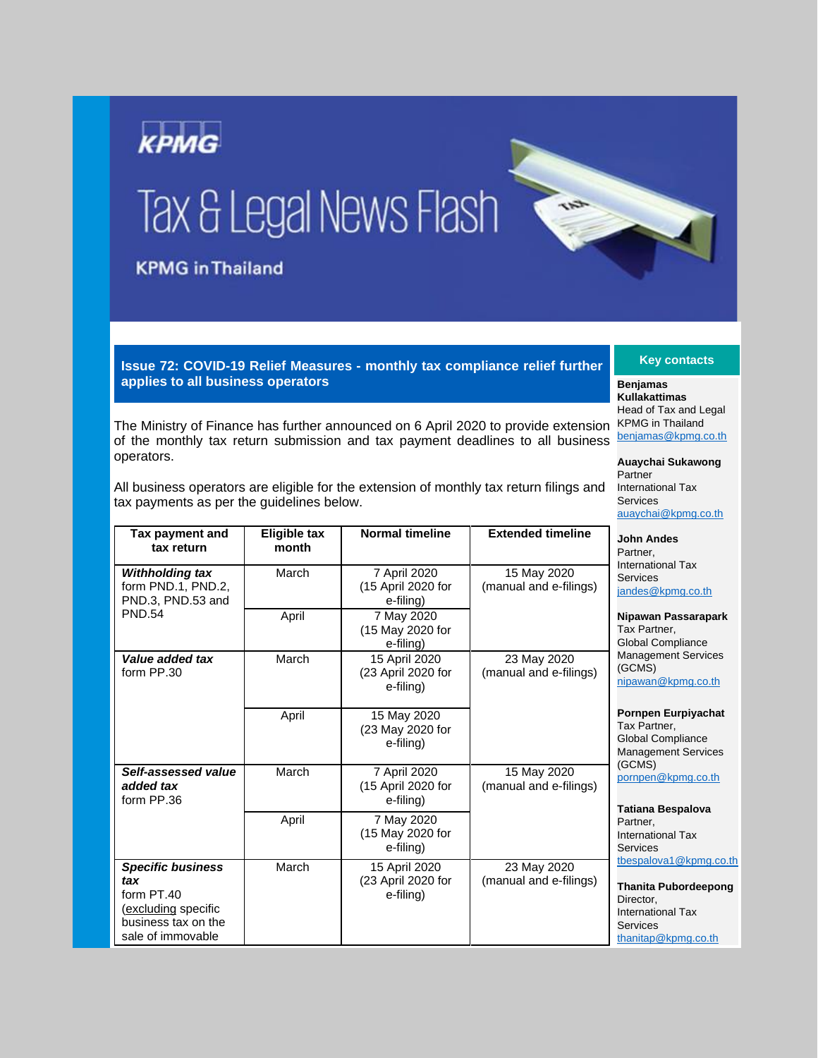

**Issue 72: COVID-19 Relief Measures - monthly tax compliance relief further applies to all business operators**

The Ministry of Finance has further announced on 6 April 2020 to provide extension of the monthly tax return submission and tax payment deadlines to all business operators.

All business operators are eligible for the extension of monthly tax return filings and tax payments as per the guidelines below.

| Tax payment and<br>tax return                                                                                    | <b>Eligible tax</b><br>month | <b>Normal timeline</b>                           | <b>Extended timeline</b>              | <b>John Andes</b><br>Partner.<br><b>International Tax</b><br>Services<br>jandes@kpmg.co.th<br>Nipawan Passarapark<br>Tax Partner.<br><b>Global Compliance</b><br><b>Management Services</b><br>(GCMS)<br>nipawan@kpmg.co.th |
|------------------------------------------------------------------------------------------------------------------|------------------------------|--------------------------------------------------|---------------------------------------|-----------------------------------------------------------------------------------------------------------------------------------------------------------------------------------------------------------------------------|
| <b>Withholding tax</b><br>form PND.1, PND.2,<br>PND.3, PND.53 and                                                | March                        | 7 April 2020<br>(15 April 2020 for<br>e-filing)  | 15 May 2020<br>(manual and e-filings) |                                                                                                                                                                                                                             |
| <b>PND.54</b>                                                                                                    | April                        | 7 May 2020<br>(15 May 2020 for<br>e-filing)      |                                       |                                                                                                                                                                                                                             |
| Value added tax<br>form PP.30                                                                                    | March                        | 15 April 2020<br>(23 April 2020 for<br>e-filing) | 23 May 2020<br>(manual and e-filings) |                                                                                                                                                                                                                             |
|                                                                                                                  | April                        | 15 May 2020<br>(23 May 2020 for<br>e-filing)     |                                       | <b>Pornpen Eurpiyachat</b><br>Tax Partner.<br><b>Global Compliance</b><br><b>Management Services</b>                                                                                                                        |
| Self-assessed value<br>added tax<br>form PP.36                                                                   | March                        | 7 April 2020<br>(15 April 2020 for<br>e-filing)  | 15 May 2020<br>(manual and e-filings) | (GCMS)<br>pornpen@kpmg.co.th                                                                                                                                                                                                |
|                                                                                                                  | April                        | 7 May 2020<br>(15 May 2020 for<br>e-filing)      |                                       | Tatiana Bespalova<br>Partner.<br><b>International Tax</b><br>Services                                                                                                                                                       |
| <b>Specific business</b><br>tax<br>form PT.40<br>(excluding specific<br>business tax on the<br>sale of immovable | March                        | 15 April 2020<br>(23 April 2020 for<br>e-filing) | 23 May 2020<br>(manual and e-filings) | tbespalova1@kpmg.co.th<br><b>Thanita Pubordeepong</b><br>Director,<br><b>International Tax</b><br>Services<br>thanitap@kpmg.co.th                                                                                           |

**Key contacts**

**Benjamas Kullakattimas** Head of Tax and Legal KPMG in Thailand [benjamas@kpmg.co.th](mailto:benjamas@kpmg.co.th)

**Auaychai Sukawong**  Partner International Tax Services [auaychai@kpmg.co.th](mailto:auaychai@kpmg.co.th)